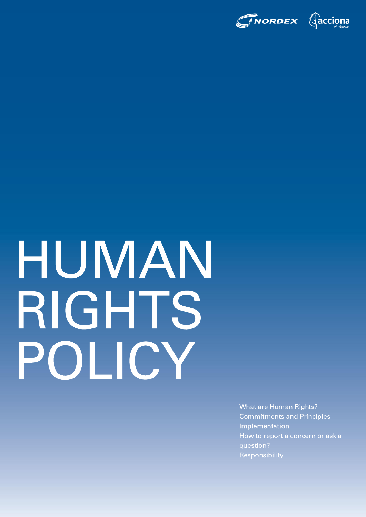

# HUMAN RIGHTS POLICY

What are Human Rights? Commitments and Principles Implementation How to report a concern or ask a question? Responsibility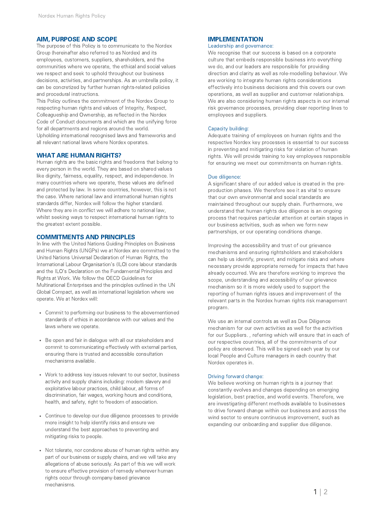## AIM, PURPOSE AND SCOPE IMPLEMENTATION

The purpose of this Policy is to communicate to the Nordex Group (hereinafter also referred to as Nordex) and its employees, customers, suppliers, shareholders, and the communities where we operate, the ethical and social values we respect and seek to uphold throughout our business decisions, activities, and partnerships. As an umbrella policy, it can be concretized by further human rights-related policies and procedural instructions.

This Policy outlines the commitment of the Nordex Group to respecting human rights and values of Integrity, Respect, Colleagueship and Ownership, as reflected in the Nordex Code of Conduct documents and which are the unifying force for all departments and regions around the world. Upholding international recognised laws and frameworks and all relevant national laws where Nordex operates.

### WHAT ARE HUMAN RIGHTS?

Human rights are the basic rights and freedoms that belong to every person in the world. They are based on shared values like dignity, fairness, equality, respect, and independence. In many countries where we operate, these values are defined and protected by law. In some countries, however, this is not the case. Where national law and international human rights standards differ, Nordex will follow the higher standard. Where they are in conflict we will adhere to national law, whilst seeking ways to respect international human rights to the greatest extent possible.

### COMMITMENTS AND PRINCIPLES

In line with the United Nations Guiding Principles on Business and Human Rights (UNGPs) we at Nordex are committed to the United Nations Universal Declaration of Human Rights, the International Labour Organisation's (ILO) core labour standards and the ILO's Declaration on the Fundamental Principles and Rights at Work. We follow the OECD Guidelines for Multinational Enterprises and the principles outlined in the UN Global Compact, as well as international legislation where we operate. We at Nordex will:

- Commit to performing our business to the abovementioned standards of ethics in accordance with our values and the laws where we operate.
- Be open and fair in dialogue with all our stakeholders and commit to communicating effectively with external parties, ensuring there is trusted and accessible consultation mechanisms available.
- Work to address key issues relevant to our sector, business activity and supply chains including: modern slavery and exploitative labour practices, child labour, all forms of discrimination, fair wages, working hours and conditions, health, and safety, right to freedom of association.
- Continue to develop our due diligence processes to provide more insight to help identify risks and ensure we understand the best approaches to preventing and mitigating risks to people.
- Not tolerate, nor condone abuse of human rights within any part of our business or supply chains, and we will take any allegations of abuse seriously. As part of this we will work to ensure effective provision of remedy wherever human rights occur through company-based grievance mechanisms.

Leadership and governance:

We recognise that our success is based on a corporate culture that embeds responsible business into everything we do, and our leaders are responsible for providing direction and clarity as well as role-modelling behaviour. We are working to integrate human rights considerations effectively into business decisions and this covers our own operations, as well as supplier and customer relationships. We are also considering human rights aspects in our internal risk governance processes, providing clear reporting lines to employees and suppliers.

### Capacity building:

Adequate training of employees on human rights and the respective Nordex key processes is essential to our success in preventing and mitigating risks for violation of human rights. We will provide training to key employees responsible for ensuring we meet our commitments on human rights.

### Due diligence:

A significant share of our added value is created in the preproduction phases. We therefore see it as vital to ensure that our own environmental and social standards are maintained throughout our supply chain. Furthermore, we understand that human rights due diligence is an ongoing process that requires particular attention at certain stages in our business activities, such as when we form new partnerships, or our operating conditions change.

Improving the accessibility and trust of our grievance mechanisms and ensuring rightsholders and stakeholders can help us identify, prevent, and mitigate risks and where necessary provide appropriate remedy for impacts that have already occurred. We are therefore working to improve the scope, understanding and accessibility of our grievance mechanism so it is more widely used to support the reporting of human rights issues and improvement of the relevant parts in the Nordex human rights risk management program.

We use an internal controls as well as Due Diligence mechanism for our own activities as well for the activities for our Suppliers. , referring which will ensure that in each of our respective countries, all of the commitments of our policy are observed. This will be signed each year by our local People and Culture managers in each country that Nordex operates in.

### Driving forward change:

We believe working on human rights is a journey that constantly evolves and changes depending on emerging legislation, best practice, and world events. Therefore, we are investigating different methods available to businesses to drive forward change within our business and across the wind sector to ensure continuous improvement, such as expanding our onboarding and supplier due diligence.